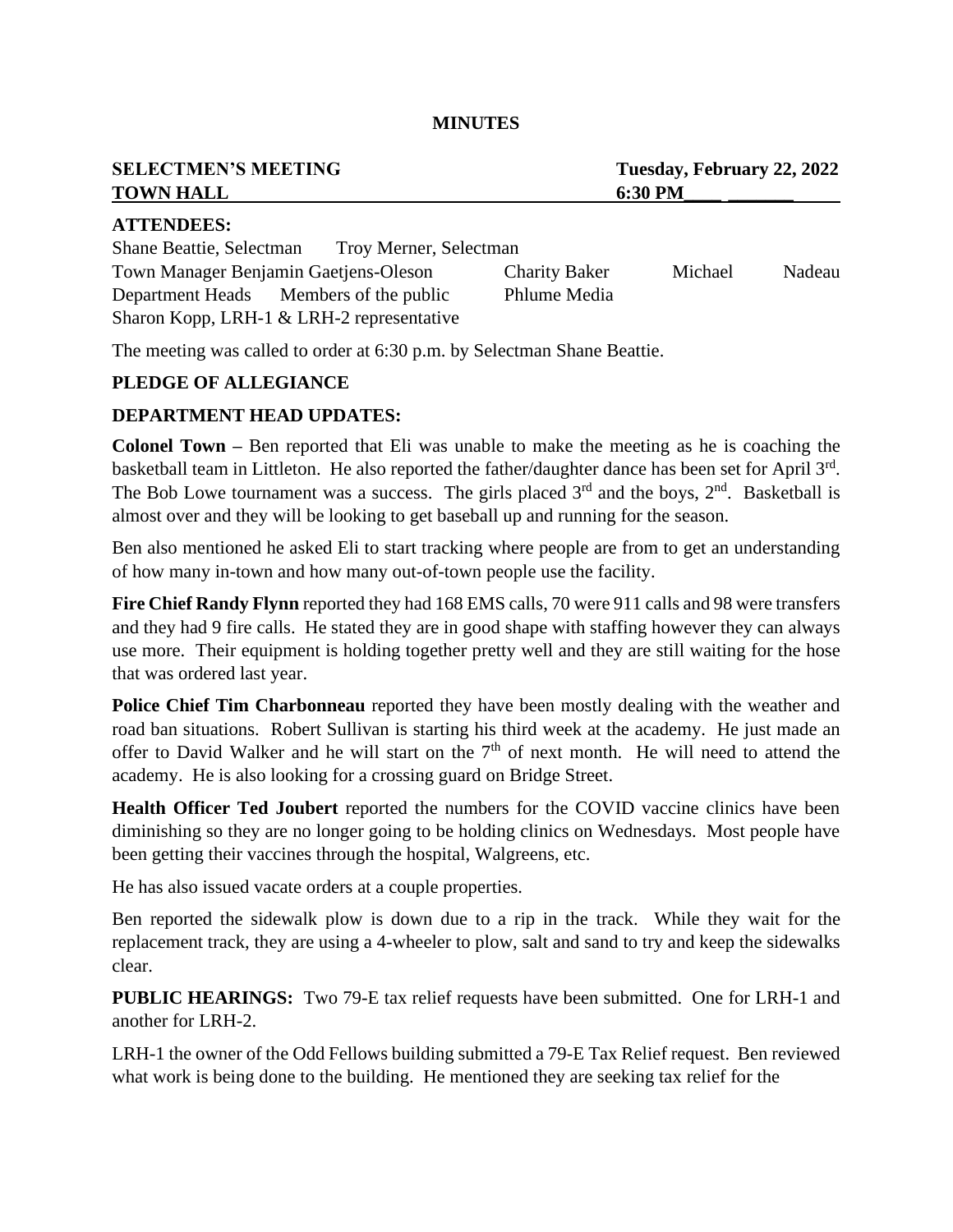#### **MINUTES**

| <b>SELECTMEN'S MEETING</b> | Tuesday, February 22, 2022 |
|----------------------------|----------------------------|
| <b>TOWN HALL</b>           | 6:30 PM                    |
| <b>ATTENDEES:</b>          |                            |

| <b>Shane Beattie, Selectman</b>       | Troy Merner, Selectman                      |                      |         |        |
|---------------------------------------|---------------------------------------------|----------------------|---------|--------|
| Town Manager Benjamin Gaetjens-Oleson |                                             | <b>Charity Baker</b> | Michael | Nadeau |
| Department Heads                      | Members of the public                       | Phlume Media         |         |        |
|                                       | Sharon Kopp, LRH-1 $&$ LRH-2 representative |                      |         |        |

The meeting was called to order at 6:30 p.m. by Selectman Shane Beattie.

#### **PLEDGE OF ALLEGIANCE**

#### **DEPARTMENT HEAD UPDATES:**

**Colonel Town –** Ben reported that Eli was unable to make the meeting as he is coaching the basketball team in Littleton. He also reported the father/daughter dance has been set for April 3<sup>rd</sup>. The Bob Lowe tournament was a success. The girls placed  $3<sup>rd</sup>$  and the boys,  $2<sup>nd</sup>$ . Basketball is almost over and they will be looking to get baseball up and running for the season.

Ben also mentioned he asked Eli to start tracking where people are from to get an understanding of how many in-town and how many out-of-town people use the facility.

Fire Chief Randy Flynn reported they had 168 EMS calls, 70 were 911 calls and 98 were transfers and they had 9 fire calls. He stated they are in good shape with staffing however they can always use more. Their equipment is holding together pretty well and they are still waiting for the hose that was ordered last year.

**Police Chief Tim Charbonneau** reported they have been mostly dealing with the weather and road ban situations. Robert Sullivan is starting his third week at the academy. He just made an offer to David Walker and he will start on the  $7<sup>th</sup>$  of next month. He will need to attend the academy. He is also looking for a crossing guard on Bridge Street.

**Health Officer Ted Joubert** reported the numbers for the COVID vaccine clinics have been diminishing so they are no longer going to be holding clinics on Wednesdays. Most people have been getting their vaccines through the hospital, Walgreens, etc.

He has also issued vacate orders at a couple properties.

Ben reported the sidewalk plow is down due to a rip in the track. While they wait for the replacement track, they are using a 4-wheeler to plow, salt and sand to try and keep the sidewalks clear.

**PUBLIC HEARINGS:** Two 79-E tax relief requests have been submitted. One for LRH-1 and another for LRH-2.

LRH-1 the owner of the Odd Fellows building submitted a 79-E Tax Relief request. Ben reviewed what work is being done to the building. He mentioned they are seeking tax relief for the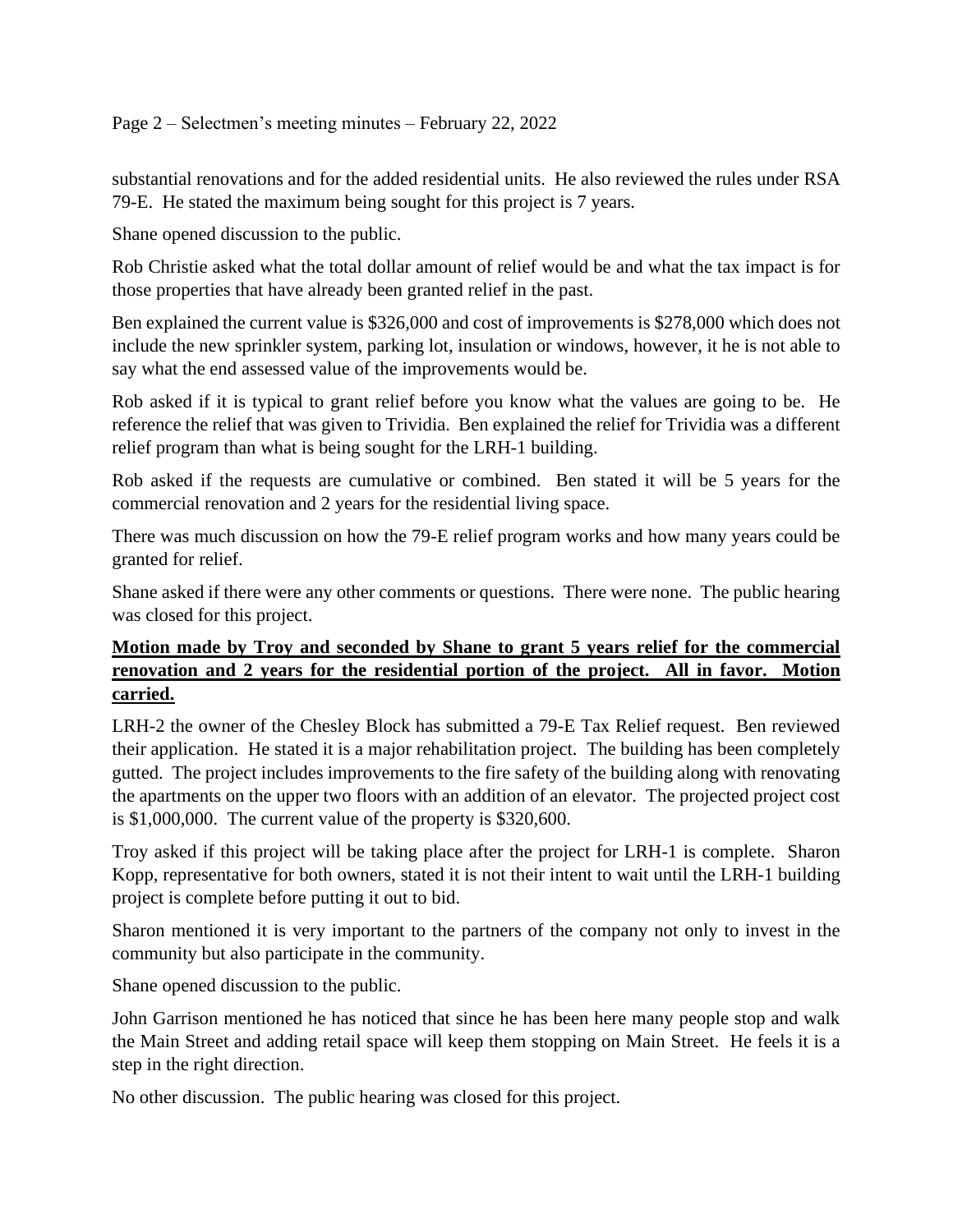## Page 2 – Selectmen's meeting minutes – February 22, 2022

substantial renovations and for the added residential units. He also reviewed the rules under RSA 79-E. He stated the maximum being sought for this project is 7 years.

Shane opened discussion to the public.

Rob Christie asked what the total dollar amount of relief would be and what the tax impact is for those properties that have already been granted relief in the past.

Ben explained the current value is \$326,000 and cost of improvements is \$278,000 which does not include the new sprinkler system, parking lot, insulation or windows, however, it he is not able to say what the end assessed value of the improvements would be.

Rob asked if it is typical to grant relief before you know what the values are going to be. He reference the relief that was given to Trividia. Ben explained the relief for Trividia was a different relief program than what is being sought for the LRH-1 building.

Rob asked if the requests are cumulative or combined. Ben stated it will be 5 years for the commercial renovation and 2 years for the residential living space.

There was much discussion on how the 79-E relief program works and how many years could be granted for relief.

Shane asked if there were any other comments or questions. There were none. The public hearing was closed for this project.

# **Motion made by Troy and seconded by Shane to grant 5 years relief for the commercial renovation and 2 years for the residential portion of the project. All in favor. Motion carried.**

LRH-2 the owner of the Chesley Block has submitted a 79-E Tax Relief request. Ben reviewed their application. He stated it is a major rehabilitation project. The building has been completely gutted. The project includes improvements to the fire safety of the building along with renovating the apartments on the upper two floors with an addition of an elevator. The projected project cost is \$1,000,000. The current value of the property is \$320,600.

Troy asked if this project will be taking place after the project for LRH-1 is complete. Sharon Kopp, representative for both owners, stated it is not their intent to wait until the LRH-1 building project is complete before putting it out to bid.

Sharon mentioned it is very important to the partners of the company not only to invest in the community but also participate in the community.

Shane opened discussion to the public.

John Garrison mentioned he has noticed that since he has been here many people stop and walk the Main Street and adding retail space will keep them stopping on Main Street. He feels it is a step in the right direction.

No other discussion. The public hearing was closed for this project.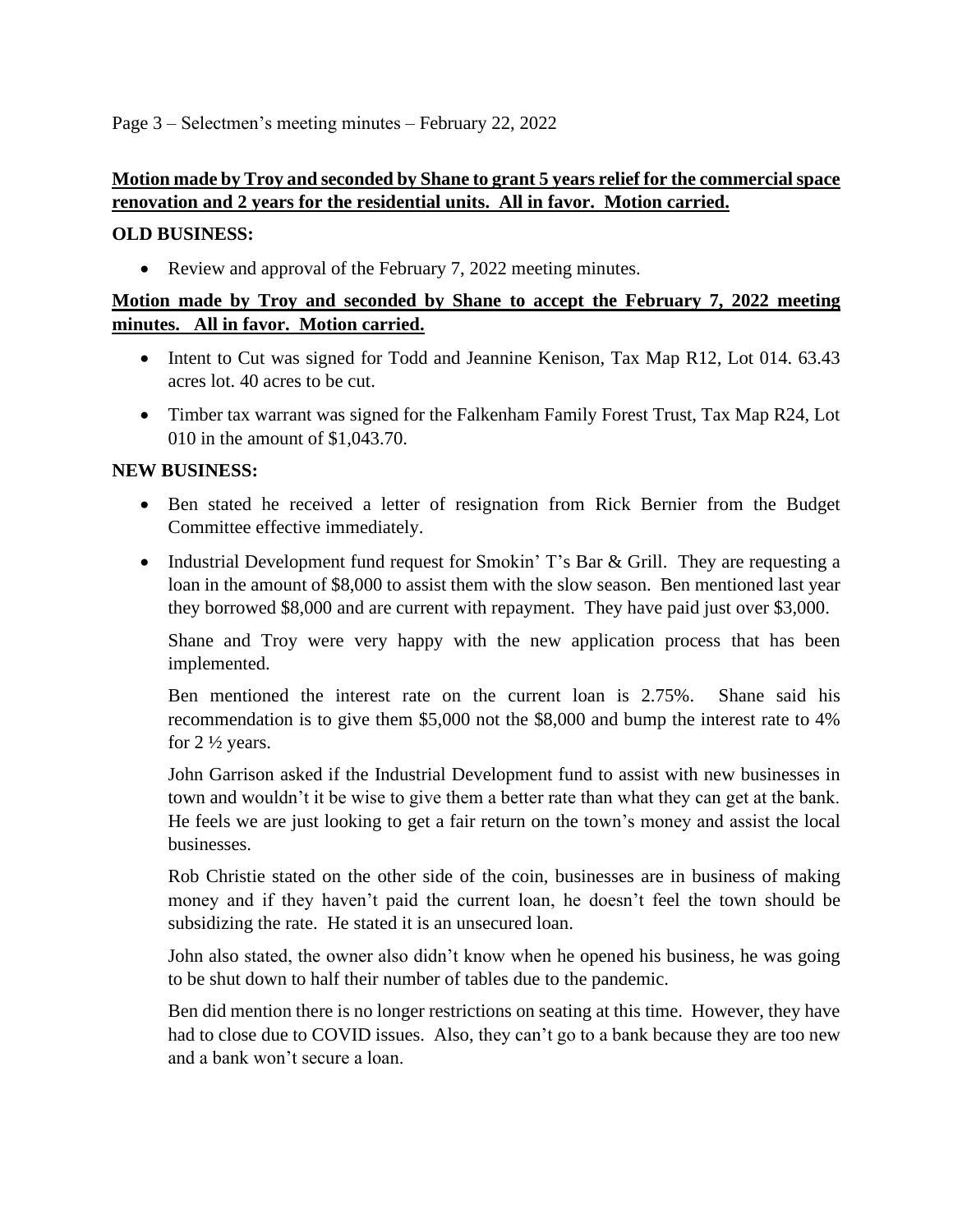### Page 3 – Selectmen's meeting minutes – February 22, 2022

## **Motion made by Troy and seconded by Shane to grant 5 years relief for the commercial space renovation and 2 years for the residential units. All in favor. Motion carried.**

### **OLD BUSINESS:**

• Review and approval of the February 7, 2022 meeting minutes.

# **Motion made by Troy and seconded by Shane to accept the February 7, 2022 meeting minutes. All in favor. Motion carried.**

- Intent to Cut was signed for Todd and Jeannine Kenison, Tax Map R12, Lot 014. 63.43 acres lot. 40 acres to be cut.
- Timber tax warrant was signed for the Falkenham Family Forest Trust, Tax Map R24, Lot 010 in the amount of \$1,043.70.

### **NEW BUSINESS:**

- Ben stated he received a letter of resignation from Rick Bernier from the Budget Committee effective immediately.
- Industrial Development fund request for Smokin' T's Bar & Grill. They are requesting a loan in the amount of \$8,000 to assist them with the slow season. Ben mentioned last year they borrowed \$8,000 and are current with repayment. They have paid just over \$3,000.

Shane and Troy were very happy with the new application process that has been implemented.

Ben mentioned the interest rate on the current loan is 2.75%. Shane said his recommendation is to give them \$5,000 not the \$8,000 and bump the interest rate to 4% for 2 ½ years.

John Garrison asked if the Industrial Development fund to assist with new businesses in town and wouldn't it be wise to give them a better rate than what they can get at the bank. He feels we are just looking to get a fair return on the town's money and assist the local businesses.

Rob Christie stated on the other side of the coin, businesses are in business of making money and if they haven't paid the current loan, he doesn't feel the town should be subsidizing the rate. He stated it is an unsecured loan.

John also stated, the owner also didn't know when he opened his business, he was going to be shut down to half their number of tables due to the pandemic.

Ben did mention there is no longer restrictions on seating at this time. However, they have had to close due to COVID issues. Also, they can't go to a bank because they are too new and a bank won't secure a loan.